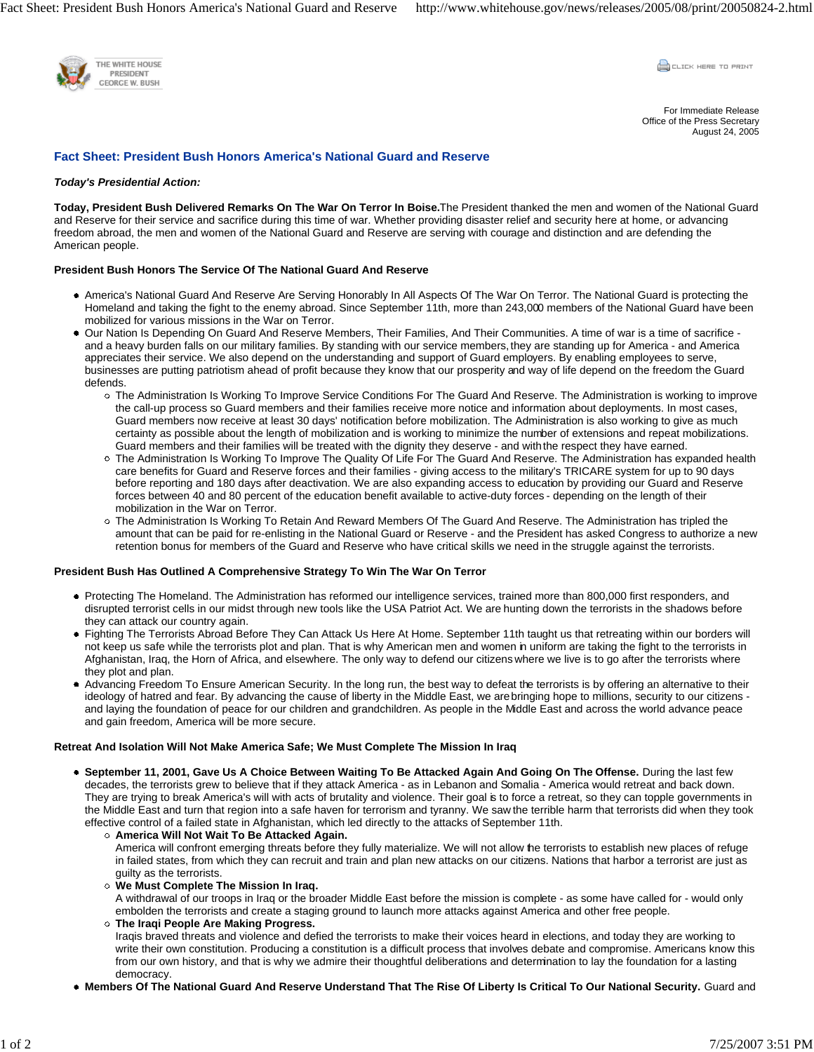

**COLLEK HERE TO PRINT** 

For Immediate Release Office of the Press Secretary August 24, 2005

# **Fact Sheet: President Bush Honors America's National Guard and Reserve**

## *Today's Presidential Action:*

**Today, President Bush Delivered Remarks On The War On Terror In Boise.**The President thanked the men and women of the National Guard and Reserve for their service and sacrifice during this time of war. Whether providing disaster relief and security here at home, or advancing freedom abroad, the men and women of the National Guard and Reserve are serving with courage and distinction and are defending the American people.

## **President Bush Honors The Service Of The National Guard And Reserve**

- America's National Guard And Reserve Are Serving Honorably In All Aspects Of The War On Terror. The National Guard is protecting the Homeland and taking the fight to the enemy abroad. Since September 11th, more than 243,000 members of the National Guard have been mobilized for various missions in the War on Terror.
- Our Nation Is Depending On Guard And Reserve Members, Their Families, And Their Communities. A time of war is a time of sacrifice and a heavy burden falls on our military families. By standing with our service members, they are standing up for America - and America appreciates their service. We also depend on the understanding and support of Guard employers. By enabling employees to serve, businesses are putting patriotism ahead of profit because they know that our prosperity and way of life depend on the freedom the Guard defends.
	- The Administration Is Working To Improve Service Conditions For The Guard And Reserve. The Administration is working to improve the call-up process so Guard members and their families receive more notice and information about deployments. In most cases, Guard members now receive at least 30 days' notification before mobilization. The Administration is also working to give as much certainty as possible about the length of mobilization and is working to minimize the number of extensions and repeat mobilizations. Guard members and their families will be treated with the dignity they deserve - and with the respect they have earned.
	- The Administration Is Working To Improve The Quality Of Life For The Guard And Reserve. The Administration has expanded health care benefits for Guard and Reserve forces and their families - giving access to the military's TRICARE system for up to 90 days before reporting and 180 days after deactivation. We are also expanding access to education by providing our Guard and Reserve forces between 40 and 80 percent of the education benefit available to active-duty forces - depending on the length of their mobilization in the War on Terror.
	- The Administration Is Working To Retain And Reward Members Of The Guard And Reserve. The Administration has tripled the amount that can be paid for re-enlisting in the National Guard or Reserve - and the President has asked Congress to authorize a new retention bonus for members of the Guard and Reserve who have critical skills we need in the struggle against the terrorists.

#### **President Bush Has Outlined A Comprehensive Strategy To Win The War On Terror**

- Protecting The Homeland. The Administration has reformed our intelligence services, trained more than 800,000 first responders, and disrupted terrorist cells in our midst through new tools like the USA Patriot Act. We are hunting down the terrorists in the shadows before they can attack our country again.
- Fighting The Terrorists Abroad Before They Can Attack Us Here At Home. September 11th taught us that retreating within our borders will not keep us safe while the terrorists plot and plan. That is why American men and women in uniform are taking the fight to the terrorists in Afghanistan, Iraq, the Horn of Africa, and elsewhere. The only way to defend our citizens where we live is to go after the terrorists where they plot and plan.
- Advancing Freedom To Ensure American Security. In the long run, the best way to defeat the terrorists is by offering an alternative to their ideology of hatred and fear. By advancing the cause of liberty in the Middle East, we are bringing hope to millions, security to our citizens and laying the foundation of peace for our children and grandchildren. As people in the Middle East and across the world advance peace and gain freedom, America will be more secure.

## **Retreat And Isolation Will Not Make America Safe; We Must Complete The Mission In Iraq**

- **September 11, 2001, Gave Us A Choice Between Waiting To Be Attacked Again And Going On The Offense.** During the last few decades, the terrorists grew to believe that if they attack America - as in Lebanon and Somalia - America would retreat and back down. They are trying to break America's will with acts of brutality and violence. Their goal is to force a retreat, so they can topple governments in the Middle East and turn that region into a safe haven for terrorism and tyranny. We saw the terrible harm that terrorists did when they took effective control of a failed state in Afghanistan, which led directly to the attacks of September 11th.
	- **America Will Not Wait To Be Attacked Again.**  America will confront emerging threats before they fully materialize. We will not allow the terrorists to establish new places of refuge in failed states, from which they can recruit and train and plan new attacks on our citizens. Nations that harbor a terrorist are just as guilty as the terrorists.
	- **We Must Complete The Mission In Iraq.**

A withdrawal of our troops in Iraq or the broader Middle East before the mission is complete - as some have called for - would only embolden the terrorists and create a staging ground to launch more attacks against America and other free people.

- **The Iraqi People Are Making Progress.**  Iraqis braved threats and violence and defied the terrorists to make their voices heard in elections, and today they are working to write their own constitution. Producing a constitution is a difficult process that involves debate and compromise. Americans know this from our own history, and that is why we admire their thoughtful deliberations and determination to lay the foundation for a lasting democracy.
- **Members Of The National Guard And Reserve Understand That The Rise Of Liberty Is Critical To Our National Security.** Guard and